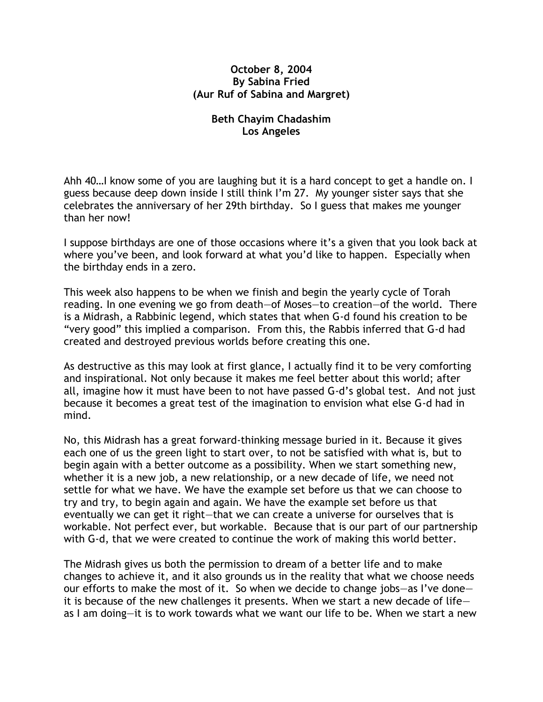## **October 8, 2004 By Sabina Fried (Aur Ruf of Sabina and Margret)**

## **Beth Chayim Chadashim Los Angeles**

Ahh 40…I know some of you are laughing but it is a hard concept to get a handle on. I guess because deep down inside I still think I'm 27. My younger sister says that she celebrates the anniversary of her 29th birthday. So I guess that makes me younger than her now!

I suppose birthdays are one of those occasions where it's a given that you look back at where you've been, and look forward at what you'd like to happen. Especially when the birthday ends in a zero.

This week also happens to be when we finish and begin the yearly cycle of Torah reading. In one evening we go from death—of Moses—to creation—of the world. There is a Midrash, a Rabbinic legend, which states that when G-d found his creation to be "very good" this implied a comparison. From this, the Rabbis inferred that G-d had created and destroyed previous worlds before creating this one.

As destructive as this may look at first glance, I actually find it to be very comforting and inspirational. Not only because it makes me feel better about this world; after all, imagine how it must have been to not have passed G-d's global test. And not just because it becomes a great test of the imagination to envision what else G-d had in mind.

No, this Midrash has a great forward-thinking message buried in it. Because it gives each one of us the green light to start over, to not be satisfied with what is, but to begin again with a better outcome as a possibility. When we start something new, whether it is a new job, a new relationship, or a new decade of life, we need not settle for what we have. We have the example set before us that we can choose to try and try, to begin again and again. We have the example set before us that eventually we can get it right—that we can create a universe for ourselves that is workable. Not perfect ever, but workable. Because that is our part of our partnership with G-d, that we were created to continue the work of making this world better.

The Midrash gives us both the permission to dream of a better life and to make changes to achieve it, and it also grounds us in the reality that what we choose needs our efforts to make the most of it. So when we decide to change jobs—as I've done it is because of the new challenges it presents. When we start a new decade of life as I am doing—it is to work towards what we want our life to be. When we start a new